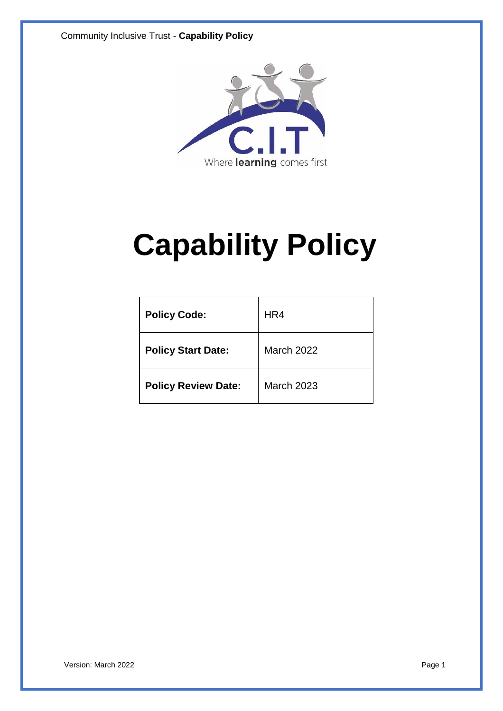

# **Capability Policy**

| <b>Policy Code:</b>        | HR4               |
|----------------------------|-------------------|
| <b>Policy Start Date:</b>  | <b>March 2022</b> |
| <b>Policy Review Date:</b> | <b>March 2023</b> |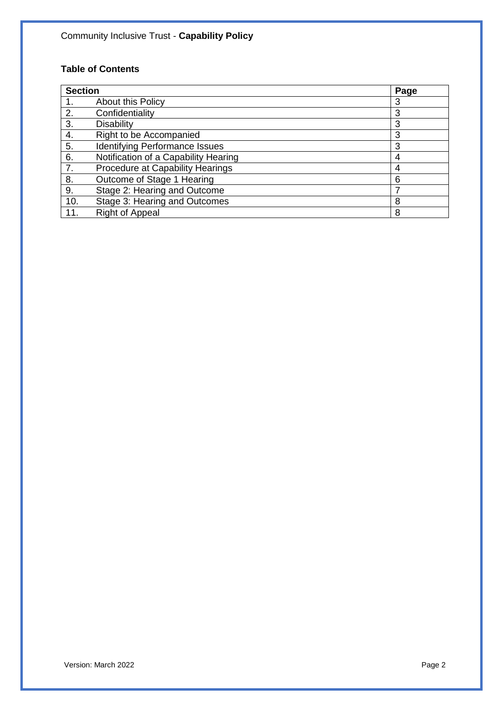## **Table of Contents**

| <b>Section</b> |                                       | Page |
|----------------|---------------------------------------|------|
|                | About this Policy                     | 3    |
| 2.             | Confidentiality                       | 3    |
| 3.             | <b>Disability</b>                     | 3    |
| 4.             | Right to be Accompanied               | 3    |
| 5.             | <b>Identifying Performance Issues</b> | 3    |
| 6.             | Notification of a Capability Hearing  | 4    |
| 7.             | Procedure at Capability Hearings      | 4    |
| 8.             | Outcome of Stage 1 Hearing            | 6    |
| 9.             | Stage 2: Hearing and Outcome          |      |
| 10.            | Stage 3: Hearing and Outcomes         | 8    |
| 11.            | <b>Right of Appeal</b>                | 8    |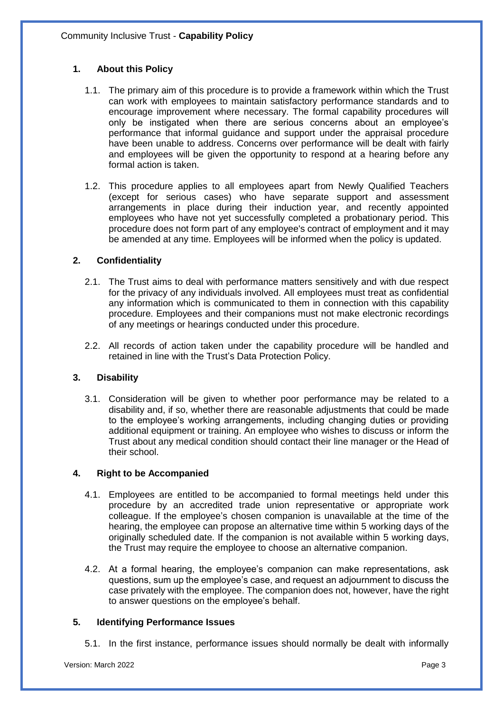## **1. About this Policy**

- 1.1. The primary aim of this procedure is to provide a framework within which the Trust can work with employees to maintain satisfactory performance standards and to encourage improvement where necessary. The formal capability procedures will only be instigated when there are serious concerns about an employee's performance that informal guidance and support under the appraisal procedure have been unable to address. Concerns over performance will be dealt with fairly and employees will be given the opportunity to respond at a hearing before any formal action is taken.
- 1.2. This procedure applies to all employees apart from Newly Qualified Teachers (except for serious cases) who have separate support and assessment arrangements in place during their induction year, and recently appointed employees who have not yet successfully completed a probationary period. This procedure does not form part of any employee's contract of employment and it may be amended at any time. Employees will be informed when the policy is updated.

## **2. Confidentiality**

- 2.1. The Trust aims to deal with performance matters sensitively and with due respect for the privacy of any individuals involved. All employees must treat as confidential any information which is communicated to them in connection with this capability procedure. Employees and their companions must not make electronic recordings of any meetings or hearings conducted under this procedure.
- 2.2. All records of action taken under the capability procedure will be handled and retained in line with the Trust's Data Protection Policy.

## **3. Disability**

3.1. Consideration will be given to whether poor performance may be related to a disability and, if so, whether there are reasonable adjustments that could be made to the employee's working arrangements, including changing duties or providing additional equipment or training. An employee who wishes to discuss or inform the Trust about any medical condition should contact their line manager or the Head of their school.

## **4. Right to be Accompanied**

- 4.1. Employees are entitled to be accompanied to formal meetings held under this procedure by an accredited trade union representative or appropriate work colleague. If the employee's chosen companion is unavailable at the time of the hearing, the employee can propose an alternative time within 5 working days of the originally scheduled date. If the companion is not available within 5 working days, the Trust may require the employee to choose an alternative companion.
- 4.2. At a formal hearing, the employee's companion can make representations, ask questions, sum up the employee's case, and request an adjournment to discuss the case privately with the employee. The companion does not, however, have the right to answer questions on the employee's behalf.

## **5. Identifying Performance Issues**

5.1. In the first instance, performance issues should normally be dealt with informally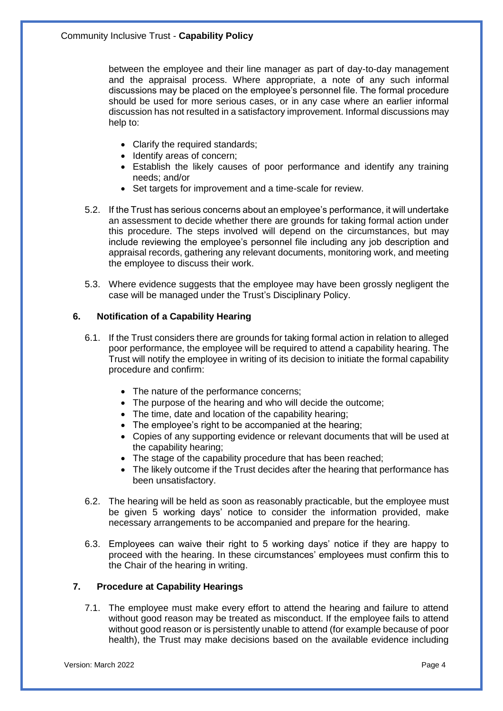between the employee and their line manager as part of day-to-day management and the appraisal process. Where appropriate, a note of any such informal discussions may be placed on the employee's personnel file. The formal procedure should be used for more serious cases, or in any case where an earlier informal discussion has not resulted in a satisfactory improvement. Informal discussions may help to:

- Clarify the required standards;
- Identify areas of concern;
- Establish the likely causes of poor performance and identify any training needs; and/or
- Set targets for improvement and a time-scale for review.
- 5.2. If the Trust has serious concerns about an employee's performance, it will undertake an assessment to decide whether there are grounds for taking formal action under this procedure. The steps involved will depend on the circumstances, but may include reviewing the employee's personnel file including any job description and appraisal records, gathering any relevant documents, monitoring work, and meeting the employee to discuss their work.
- 5.3. Where evidence suggests that the employee may have been grossly negligent the case will be managed under the Trust's Disciplinary Policy.

## **6. Notification of a Capability Hearing**

- 6.1. If the Trust considers there are grounds for taking formal action in relation to alleged poor performance, the employee will be required to attend a capability hearing. The Trust will notify the employee in writing of its decision to initiate the formal capability procedure and confirm:
	- The nature of the performance concerns;
	- The purpose of the hearing and who will decide the outcome;
	- The time, date and location of the capability hearing;
	- The employee's right to be accompanied at the hearing;
	- Copies of any supporting evidence or relevant documents that will be used at the capability hearing;
	- The stage of the capability procedure that has been reached;
	- The likely outcome if the Trust decides after the hearing that performance has been unsatisfactory.
- 6.2. The hearing will be held as soon as reasonably practicable, but the employee must be given 5 working days' notice to consider the information provided, make necessary arrangements to be accompanied and prepare for the hearing.
- 6.3. Employees can waive their right to 5 working days' notice if they are happy to proceed with the hearing. In these circumstances' employees must confirm this to the Chair of the hearing in writing.

## **7. Procedure at Capability Hearings**

7.1. The employee must make every effort to attend the hearing and failure to attend without good reason may be treated as misconduct. If the employee fails to attend without good reason or is persistently unable to attend (for example because of poor health), the Trust may make decisions based on the available evidence including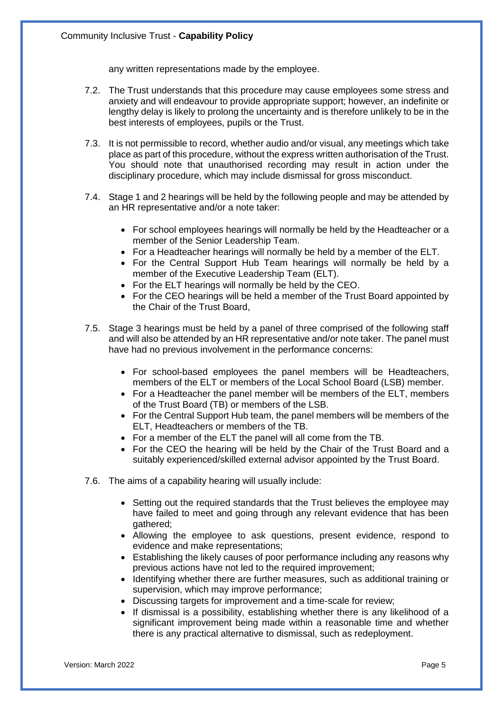any written representations made by the employee.

- 7.2. The Trust understands that this procedure may cause employees some stress and anxiety and will endeavour to provide appropriate support; however, an indefinite or lengthy delay is likely to prolong the uncertainty and is therefore unlikely to be in the best interests of employees, pupils or the Trust.
- 7.3. It is not permissible to record, whether audio and/or visual, any meetings which take place as part of this procedure, without the express written authorisation of the Trust. You should note that unauthorised recording may result in action under the disciplinary procedure, which may include dismissal for gross misconduct.
- 7.4. Stage 1 and 2 hearings will be held by the following people and may be attended by an HR representative and/or a note taker:
	- For school employees hearings will normally be held by the Headteacher or a member of the Senior Leadership Team.
	- For a Headteacher hearings will normally be held by a member of the ELT.
	- For the Central Support Hub Team hearings will normally be held by a member of the Executive Leadership Team (ELT).
	- For the ELT hearings will normally be held by the CEO.
	- For the CEO hearings will be held a member of the Trust Board appointed by the Chair of the Trust Board,
- 7.5. Stage 3 hearings must be held by a panel of three comprised of the following staff and will also be attended by an HR representative and/or note taker. The panel must have had no previous involvement in the performance concerns:
	- For school-based employees the panel members will be Headteachers, members of the ELT or members of the Local School Board (LSB) member.
	- For a Headteacher the panel member will be members of the ELT, members of the Trust Board (TB) or members of the LSB.
	- For the Central Support Hub team, the panel members will be members of the ELT, Headteachers or members of the TB.
	- For a member of the ELT the panel will all come from the TB.
	- For the CEO the hearing will be held by the Chair of the Trust Board and a suitably experienced/skilled external advisor appointed by the Trust Board.
- 7.6. The aims of a capability hearing will usually include:
	- Setting out the required standards that the Trust believes the employee may have failed to meet and going through any relevant evidence that has been gathered;
	- Allowing the employee to ask questions, present evidence, respond to evidence and make representations;
	- Establishing the likely causes of poor performance including any reasons why previous actions have not led to the required improvement;
	- Identifying whether there are further measures, such as additional training or supervision, which may improve performance;
	- Discussing targets for improvement and a time-scale for review;
	- If dismissal is a possibility, establishing whether there is any likelihood of a significant improvement being made within a reasonable time and whether there is any practical alternative to dismissal, such as redeployment.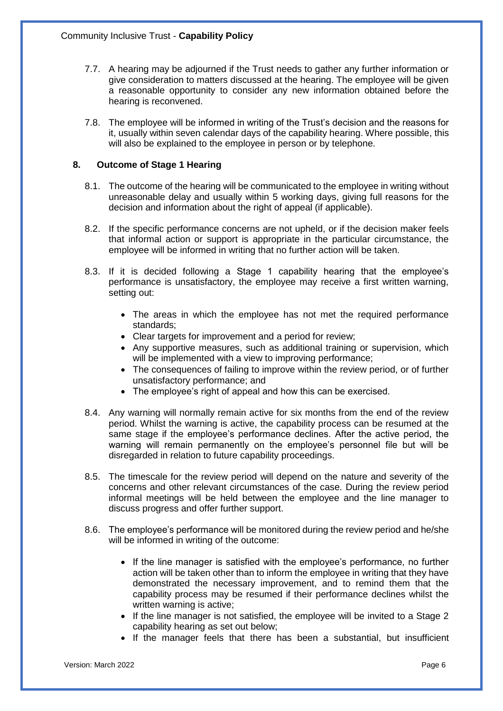- 7.7. A hearing may be adjourned if the Trust needs to gather any further information or give consideration to matters discussed at the hearing. The employee will be given a reasonable opportunity to consider any new information obtained before the hearing is reconvened.
- 7.8. The employee will be informed in writing of the Trust's decision and the reasons for it, usually within seven calendar days of the capability hearing. Where possible, this will also be explained to the employee in person or by telephone.

## **8. Outcome of Stage 1 Hearing**

- 8.1. The outcome of the hearing will be communicated to the employee in writing without unreasonable delay and usually within 5 working days, giving full reasons for the decision and information about the right of appeal (if applicable).
- 8.2. If the specific performance concerns are not upheld, or if the decision maker feels that informal action or support is appropriate in the particular circumstance, the employee will be informed in writing that no further action will be taken.
- 8.3. If it is decided following a Stage 1 capability hearing that the employee's performance is unsatisfactory, the employee may receive a first written warning, setting out:
	- The areas in which the employee has not met the required performance standards;
	- Clear targets for improvement and a period for review;
	- Any supportive measures, such as additional training or supervision, which will be implemented with a view to improving performance;
	- The consequences of failing to improve within the review period, or of further unsatisfactory performance; and
	- The employee's right of appeal and how this can be exercised.
- 8.4. Any warning will normally remain active for six months from the end of the review period. Whilst the warning is active, the capability process can be resumed at the same stage if the employee's performance declines. After the active period, the warning will remain permanently on the employee's personnel file but will be disregarded in relation to future capability proceedings.
- 8.5. The timescale for the review period will depend on the nature and severity of the concerns and other relevant circumstances of the case. During the review period informal meetings will be held between the employee and the line manager to discuss progress and offer further support.
- 8.6. The employee's performance will be monitored during the review period and he/she will be informed in writing of the outcome:
	- If the line manager is satisfied with the employee's performance, no further action will be taken other than to inform the employee in writing that they have demonstrated the necessary improvement, and to remind them that the capability process may be resumed if their performance declines whilst the written warning is active;
	- If the line manager is not satisfied, the employee will be invited to a Stage 2 capability hearing as set out below;
	- If the manager feels that there has been a substantial, but insufficient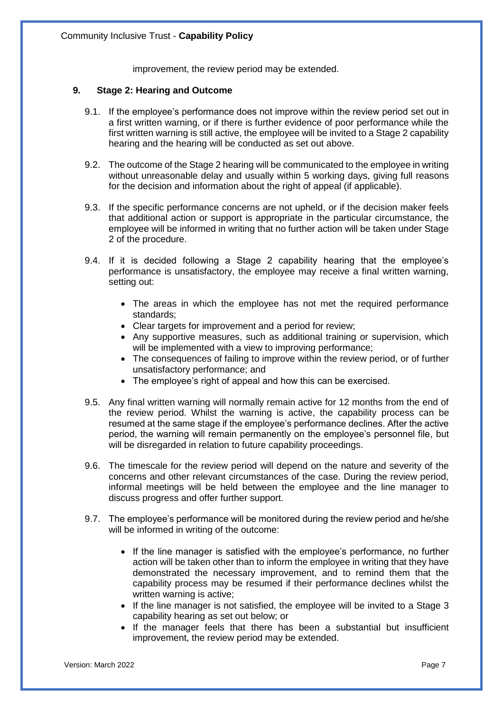improvement, the review period may be extended.

#### **9. Stage 2: Hearing and Outcome**

- 9.1. If the employee's performance does not improve within the review period set out in a first written warning, or if there is further evidence of poor performance while the first written warning is still active, the employee will be invited to a Stage 2 capability hearing and the hearing will be conducted as set out above.
- 9.2. The outcome of the Stage 2 hearing will be communicated to the employee in writing without unreasonable delay and usually within 5 working days, giving full reasons for the decision and information about the right of appeal (if applicable).
- 9.3. If the specific performance concerns are not upheld, or if the decision maker feels that additional action or support is appropriate in the particular circumstance, the employee will be informed in writing that no further action will be taken under Stage 2 of the procedure.
- 9.4. If it is decided following a Stage 2 capability hearing that the employee's performance is unsatisfactory, the employee may receive a final written warning, setting out:
	- The areas in which the employee has not met the required performance standards;
	- Clear targets for improvement and a period for review;
	- Any supportive measures, such as additional training or supervision, which will be implemented with a view to improving performance;
	- The consequences of failing to improve within the review period, or of further unsatisfactory performance; and
	- The employee's right of appeal and how this can be exercised.
- 9.5. Any final written warning will normally remain active for 12 months from the end of the review period. Whilst the warning is active, the capability process can be resumed at the same stage if the employee's performance declines. After the active period, the warning will remain permanently on the employee's personnel file, but will be disregarded in relation to future capability proceedings.
- 9.6. The timescale for the review period will depend on the nature and severity of the concerns and other relevant circumstances of the case. During the review period, informal meetings will be held between the employee and the line manager to discuss progress and offer further support.
- 9.7. The employee's performance will be monitored during the review period and he/she will be informed in writing of the outcome:
	- If the line manager is satisfied with the employee's performance, no further action will be taken other than to inform the employee in writing that they have demonstrated the necessary improvement, and to remind them that the capability process may be resumed if their performance declines whilst the written warning is active;
	- If the line manager is not satisfied, the employee will be invited to a Stage 3 capability hearing as set out below; or
	- If the manager feels that there has been a substantial but insufficient improvement, the review period may be extended.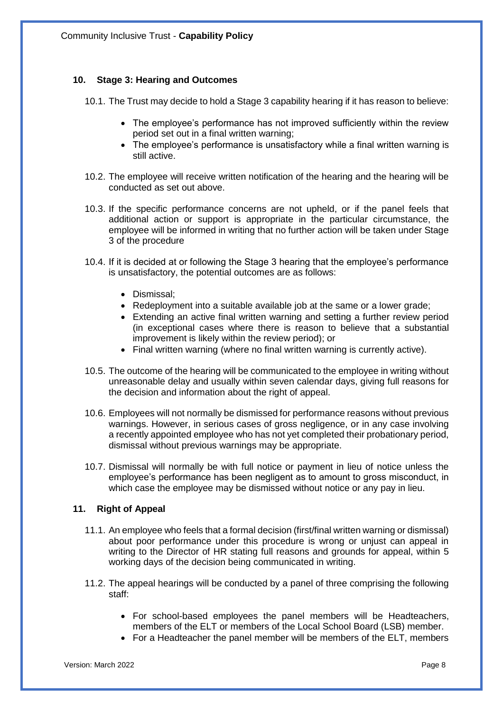## **10. Stage 3: Hearing and Outcomes**

10.1. The Trust may decide to hold a Stage 3 capability hearing if it has reason to believe:

- The employee's performance has not improved sufficiently within the review period set out in a final written warning;
- The employee's performance is unsatisfactory while a final written warning is still active.
- 10.2. The employee will receive written notification of the hearing and the hearing will be conducted as set out above.
- 10.3. If the specific performance concerns are not upheld, or if the panel feels that additional action or support is appropriate in the particular circumstance, the employee will be informed in writing that no further action will be taken under Stage 3 of the procedure
- 10.4. If it is decided at or following the Stage 3 hearing that the employee's performance is unsatisfactory, the potential outcomes are as follows:
	- Dismissal;
	- Redeployment into a suitable available job at the same or a lower grade;
	- Extending an active final written warning and setting a further review period (in exceptional cases where there is reason to believe that a substantial improvement is likely within the review period); or
	- Final written warning (where no final written warning is currently active).
- 10.5. The outcome of the hearing will be communicated to the employee in writing without unreasonable delay and usually within seven calendar days, giving full reasons for the decision and information about the right of appeal.
- 10.6. Employees will not normally be dismissed for performance reasons without previous warnings. However, in serious cases of gross negligence, or in any case involving a recently appointed employee who has not yet completed their probationary period, dismissal without previous warnings may be appropriate.
- 10.7. Dismissal will normally be with full notice or payment in lieu of notice unless the employee's performance has been negligent as to amount to gross misconduct, in which case the employee may be dismissed without notice or any pay in lieu.

## **11. Right of Appeal**

- 11.1. An employee who feels that a formal decision (first/final written warning or dismissal) about poor performance under this procedure is wrong or unjust can appeal in writing to the Director of HR stating full reasons and grounds for appeal, within 5 working days of the decision being communicated in writing.
- 11.2. The appeal hearings will be conducted by a panel of three comprising the following staff:
	- For school-based employees the panel members will be Headteachers, members of the ELT or members of the Local School Board (LSB) member.
	- For a Headteacher the panel member will be members of the ELT, members